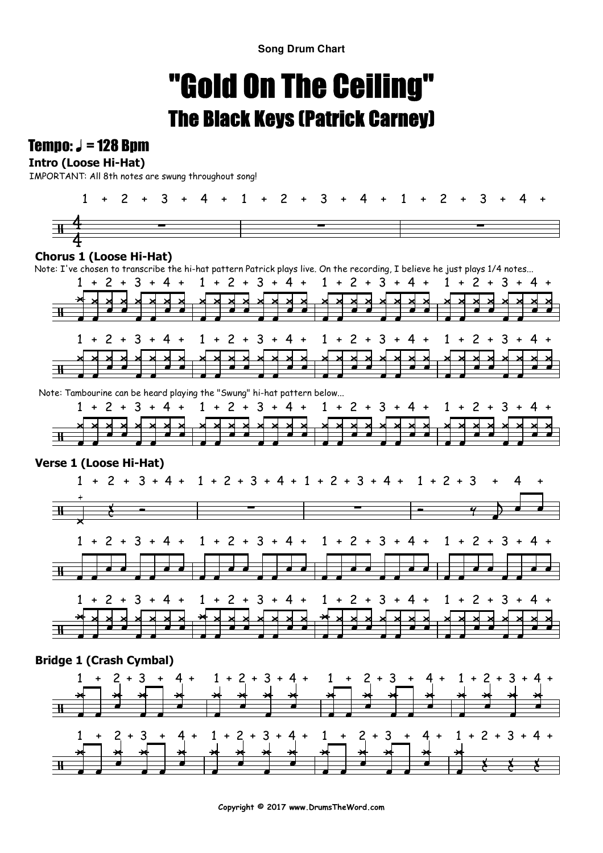**Song Drum Chart**

# "Gold On The Ceiling"The Black Keys (Patrick Carney)

### Tempo:  $J = 128$  Bpm

### **Intro (Loose Hi-Hat)**

IMPORTANT: All 8th notes are swung throughout song!



### **Chorus 1 (Loose Hi-Hat)**

Note: I've chosen to transcribe the hi-hat pattern Patrick plays live. On the recording, I believe he just plays 1/4 notes...



Note: Tambourine can be heard playing the "Swung" hi-hat pattern below...



### **Verse 1 (Loose Hi-Hat)**



### **Bridge 1 (Crash Cymbal)**

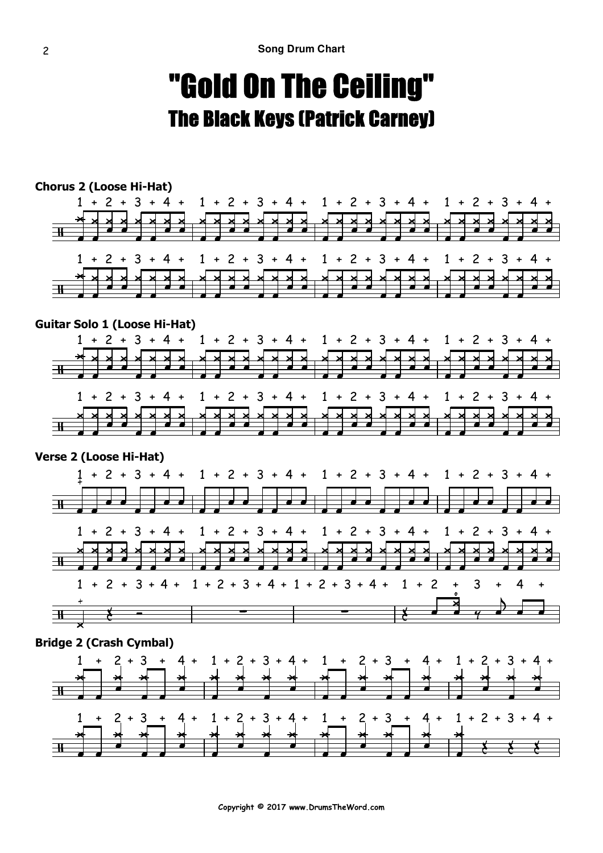## "Gold On The Ceiling"The Black Keys (Patrick Carney)



**Copyright © 2017 www.DrumsTheWord.com**